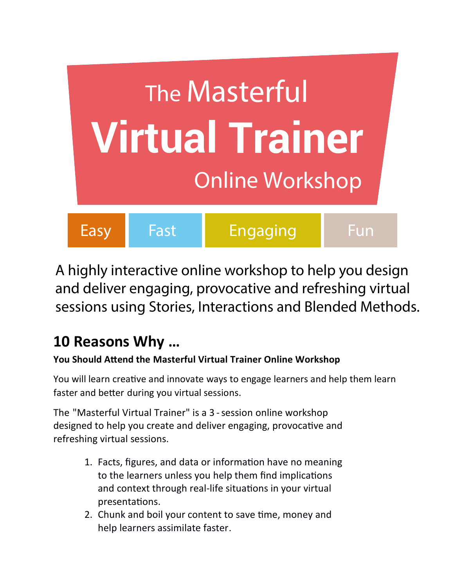

A highly interactive online workshop to help you design and deliver engaging, provocative and refreshing virtual sessions using Stories, Interactions and Blended Methods.

## **10 Reasons Why …**

## **You Should Attend the Masterful Virtual Trainer Online Workshop**

You will learn creative and innovate ways to engage learners and help them learn faster and better during you virtual sessions.

The "Masterful Virtual Trainer" is a 3 - session online workshop designed to help you create and deliver engaging, provocative and refreshing virtual sessions.

- 1. Facts, figures, and data or information have no meaning to the learners unless you help them find implications and context through real-life situations in your virtual presentations.
- 2. Chunk and boil your content to save time, money and help learners assimilate faster.